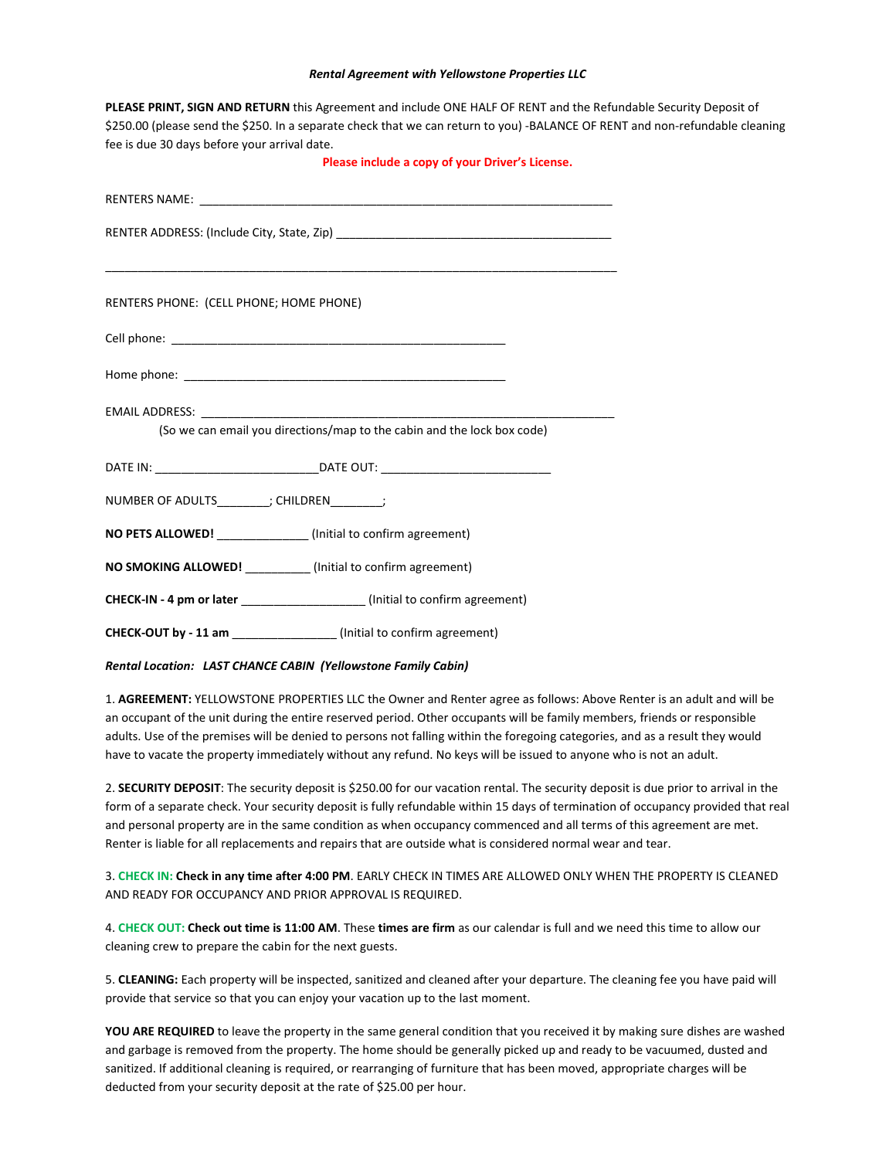## *Rental Agreement with Yellowstone Properties LLC*

**PLEASE PRINT, SIGN AND RETURN** this Agreement and include ONE HALF OF RENT and the Refundable Security Deposit of

| \$250.00 (please send the \$250. In a separate check that we can return to you) -BALANCE OF RENT and non-refundable cleaning<br>fee is due 30 days before your arrival date. |
|------------------------------------------------------------------------------------------------------------------------------------------------------------------------------|
| Please include a copy of your Driver's License.                                                                                                                              |
|                                                                                                                                                                              |
|                                                                                                                                                                              |
|                                                                                                                                                                              |
| RENTERS PHONE: (CELL PHONE; HOME PHONE)                                                                                                                                      |
|                                                                                                                                                                              |
|                                                                                                                                                                              |
|                                                                                                                                                                              |
| (So we can email you directions/map to the cabin and the lock box code)                                                                                                      |
|                                                                                                                                                                              |
| NUMBER OF ADULTS_________; CHILDREN________;                                                                                                                                 |
| NO PETS ALLOWED! _____________(Initial to confirm agreement)                                                                                                                 |
| NO SMOKING ALLOWED! (Initial to confirm agreement)                                                                                                                           |
| CHECK-IN - 4 pm or later _____________________(Initial to confirm agreement)                                                                                                 |
| CHECK-OUT by - 11 am _______________(Initial to confirm agreement)                                                                                                           |
| Rental Location: LAST CHANCE CABIN (Yellowstone Family Cabin)                                                                                                                |

1. **AGREEMENT:** YELLOWSTONE PROPERTIES LLC the Owner and Renter agree as follows: Above Renter is an adult and will be an occupant of the unit during the entire reserved period. Other occupants will be family members, friends or responsible adults. Use of the premises will be denied to persons not falling within the foregoing categories, and as a result they would have to vacate the property immediately without any refund. No keys will be issued to anyone who is not an adult.

2. **SECURITY DEPOSIT**: The security deposit is \$250.00 for our vacation rental. The security deposit is due prior to arrival in the form of a separate check. Your security deposit is fully refundable within 15 days of termination of occupancy provided that real and personal property are in the same condition as when occupancy commenced and all terms of this agreement are met. Renter is liable for all replacements and repairs that are outside what is considered normal wear and tear.

3. **CHECK IN: Check in any time after 4:00 PM**. EARLY CHECK IN TIMES ARE ALLOWED ONLY WHEN THE PROPERTY IS CLEANED AND READY FOR OCCUPANCY AND PRIOR APPROVAL IS REQUIRED.

4. **CHECK OUT: Check out time is 11:00 AM**. These **times are firm** as our calendar is full and we need this time to allow our cleaning crew to prepare the cabin for the next guests.

5. **CLEANING:** Each property will be inspected, sanitized and cleaned after your departure. The cleaning fee you have paid will provide that service so that you can enjoy your vacation up to the last moment.

YOU ARE REQUIRED to leave the property in the same general condition that you received it by making sure dishes are washed and garbage is removed from the property. The home should be generally picked up and ready to be vacuumed, dusted and sanitized. If additional cleaning is required, or rearranging of furniture that has been moved, appropriate charges will be deducted from your security deposit at the rate of \$25.00 per hour.